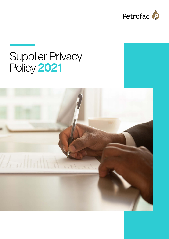

# Supplier Privacy Policy 2021

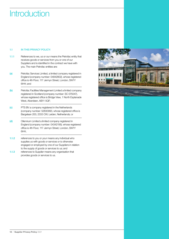## **Introduction**

#### 1.1 **IN THIS PRIVACY POLICY:**

- 1.1.1 References to we, us or our means the Petrofac entity that receives goods or services from you or one of our Suppliers and is identified in the contract we have with you. The main Petrofac entities are:
- (a) Petrofac Services Limited, a limited company registered in England (company number: 04842802), whose registered office is 4th Floor, 117 Jermyn Street, London, SW1Y 6HH; and
- (b) Petrofac Facilities Management Limited a limited company registered in Scotland (company number: SC 075047), whose registered office is Bridge View, 1 North Esplanade West, Aberdeen, AB11 5QF;
- (c) PTS BV a company registered in the Netherlands (company number: 52830993, whose registered office is Bargelaan 200, 2333 CW, Leiden, Netherlands; or
- (d) Oilennium Limited a limited company registered in England (company number: 04342156), whose registered office is 4th Floor, 117 Jermyn Street, London, SW1Y 6HH,
- 1.1.2 references to you or your means any individual who supplies us with goods or services or is otherwise engaged or employed by one of our Suppliers in relation to the supply of goods or services to us; and
- 1.1.3 references to Supplier means any organisation that provides goods or services to us.

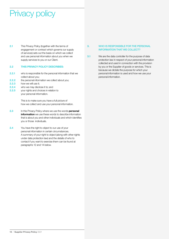## Privacy policy

2.1 This Privacy Policy (together with the terms of engagement or contract which governs our supply of services) sets out the basis on which we collect and use personal information about you when we supply services to you or our Client.

#### 2.2 THIS PRIVACY POLICY DESCRIBES:

- 2.2.1 who is responsible for the personal information that we collect about you;
- **2.2.2** the personal information we collect about you;
- 2.2.3 how we will use it:
- 2.2.4 who we may disclose it to; and
- **2.2.5** your rights and choices in relation to your personal information.

This is to make sure you have a full picture of how we collect and use your personal information.

- 2.3 In this Privacy Policy where we use the words **personal** information we use these words to describe information that is about you and other individuals and which identifies you or those individuals.
- 2.4 You have the right to object to our use of your personal information in certain circumstances. A summary of your right to object (along with other rights under data protection law) and the details of who to contact if you want to exercise them can be found at paragraphs 12 and 14 below.

#### 3. WHO IS RESPONSIBLE FOR THE PERSONAL INFORMATION THAT WE COLLECT?

3.1 We are the data controller for the purpose of data protection law in respect of your personal information collected and used in connection with the provision by you or the Supplier of goods or services. This is because we dictate the purpose for which your personal information is used and how we use your personal information.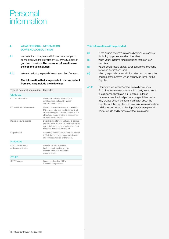### Personal information

#### 4. WHAT PERSONAL INFORMATION DO WE HOLD ABOUT YOU?

- 4.1 We collect and use personal information about you in connection with the provision by you or the Supplier of goods and services. The personal information we collect and use includes:
- 4.1.1 Information that you provide to us / we collect from you.

#### The information that you provide to us / we collect from you may include the following:

| <b>Type of Personal Information</b>           | Examples                                                                                                                                                                                                    |
|-----------------------------------------------|-------------------------------------------------------------------------------------------------------------------------------------------------------------------------------------------------------------|
| <b>GENERAL</b>                                |                                                                                                                                                                                                             |
| Contact information                           | Name, title, address, date of birth,<br>email address, nationality, gender<br>and telephone number.                                                                                                         |
| Communications between us                     | Communications between us in relation to<br>the services you propose to supply to us<br>or you will supply to us and our respective<br>obligations to one another in accordance<br>with our contract terms. |
| Details of your expertise                     | Details relating to your skills and expertise,<br>previous work experience and qualifications<br>and details included in any pitch or tender<br>response that you submit to us.                             |
| Log in details                                | Username and account number for access<br>to Websites and systems provided under<br>our contract with you or the Client.                                                                                    |
| <b>FINANCIAL</b>                              |                                                                                                                                                                                                             |
| Financial information<br>and account details. | National insurance number.<br>bank account number or other<br>financial account number and<br>account details.                                                                                              |
| <b>OTHER</b>                                  |                                                                                                                                                                                                             |
| CCTV footage                                  | Images captured on CCTV<br>if you visit our premises.                                                                                                                                                       |

#### This information will be provided:

- (a) in the course of communications between you and us (including by phone, email or otherwise);
- (b) when you fill in forms for us (including those on our websites);
- (c) via our social media pages, other social media content, tools and applications; and
- (d) when you provide personal information via our websites or using other systems which we provide to you or the Supplier.
- 4.1.2 Information we receive/ collect from other sources From time to time we may use a third party to carry out due diligence checks on our Suppliers. In these circumstances, the third party carrying out the checks may provide us with personal information about the Supplier, or if the Supplier is a company, information about individuals connected to the Supplier; for example their name, job title and business contact information.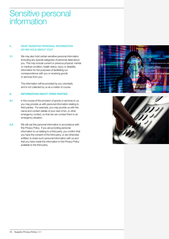### Sensitive personal **information**

#### 5. WHAT SENSITIVE PERSONAL INFORMATION DO WE HOLD ABOUT YOU?

5.1 We may also hold certain sensitive personal information (including any special categories of personal data) about you. This may include current or previous physical, mental or medical condition, health status, injury or disability information for the purposes of facilitating our correspondence with you or receiving goods or services from you.

> This information will be provided by you voluntarily and is not collected by us as a matter of course.

#### 6. INFORMATION ABOUT THIRD PARTIES

- 6.1 In the course of the provision of goods or services to us, you may provide us with personal information relating to third parties. For example, you may provide us with the name and contact details of your next of kin, or other emergency contact, so that we can contact them in an emergency situation.
- 6.2 We will use this personal information in accordance with this Privacy Policy. If you are providing personal information to us relating to a third party, you confirm that you have the consent of the third party, or are otherwise entitled, to share such personal information with us and that you have made the information in this Privacy Policy available to the third party.



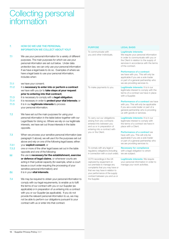### Collecting personal information

#### 7. HOW DO WE USE THE PERSONAL INFORMATION WE COLLECT ABOUT YOU?

- 7.1 We use your personal information for a variety of different purposes. The main purposes for which we use your personal information are set out below. Under data protection law, we can only use your personal information if we have a legal basis to do so. Examples of where we have a legal basis to use your personal information, includes when:
- 7.1.1 we have your consent;
- 7.1.2 it is necessary to enter into or perform a contract we have with you (or to take steps at your request prior to entering into that contract);
- 7.1.3 it is necessary to comply with a legal obligation;
- 7.1.4 it is necessary in order to **protect your vital interests**; or
- 7.1.5 it is in our **legitimate interests** to process your personal information.
- 7.2 We have set out the main purposes for using your personal information in the table below together with our Legal Basis for doing so. Where we rely on our legitimate interests, we have set out those interests in the table opposite.
- 7.3 When we process your sensitive personal information (see paragraph 5 above), we will use it for the purposes set out above and rely on one of the following legal bases; either:
- 7.3.1 vour explicit consent; or
- 7.3.2 one or more of the other legal bases set out in the table opposite and one of the following:
- (a) the use is necessary for the establishment, exercise or defence of legal claims, or whenever courts are acting in their judicial capacity (for example, when a court issues a court order requiring the processing of your sensitive personal information); and
- (b) it is in your **vital interests**.
- 7.4 We may be required to obtain your personal information to comply with our legal requirements, to enable us to fulfil the terms of our contract with you or our Supplier (as applicable) or in preparation of us entering into a contract with you or our Supplier (as applicable). If you do not provide the relevant personal information to us, we may not be able to perform our obligations pursuant to your contract with us or enter into that contract.

| <b>PURPOSE</b>                                                                                                                                                                                                                | <b>LEGAL BASIS</b>                                                                                                                                                                                                  |
|-------------------------------------------------------------------------------------------------------------------------------------------------------------------------------------------------------------------------------|---------------------------------------------------------------------------------------------------------------------------------------------------------------------------------------------------------------------|
| To communicate with<br>you and other individuals.                                                                                                                                                                             | <b>Legitimate interests:</b><br>We require your personal information<br>in order to communicate with you or<br>the Client in relation to the supply of<br>services in accordance with the terms<br>of the contract. |
|                                                                                                                                                                                                                               | <b>Performance of a contract</b><br>we have with you. This will only be<br>applicable if you are a sole trader<br>or part of a general partnership who<br>we are providing services to.                             |
| To make payments to you.                                                                                                                                                                                                      | <b>Legitimate interests:</b> It is in our<br>legitimate interest to comply with the<br>terms of a contract we have in place<br>with a Supplier.                                                                     |
|                                                                                                                                                                                                                               | Performance of a contract we have<br>with you. This will only be applicable<br>if you are a sole trader or part of a<br>general partnership who is providing<br>us with goods or services.                          |
| To carry out our obligations<br>arising from any contracts<br>entered into between you<br>and us or in preparation of<br>entering into a contract with<br>you or the Client.                                                  | Legitimate interests: It is in our<br>legitimate interest to comply with<br>the terms of a contract we have in<br>place with a Client.                                                                              |
|                                                                                                                                                                                                                               | <b>Performance of a contract we</b><br>have with you. This will only be<br>applicable if you are a sole trader<br>or part of a general partnership who<br>we are providing services to.                             |
| To comply with any legal or<br>regulatory obligations (including<br>in connection with a court order).                                                                                                                        | <b>Necessary for compliance</b><br>with a legal obligation to which<br>we are subject.                                                                                                                              |
| CCTV recordings in the UK<br>captured by equipment on<br>our premises to manage any<br>complaints that you may have or<br>that we may have in relation to<br>your performance of the supply<br>contract between vou and us or | Legitimate interests: We require<br>your personal information in order to<br>manage your work activities.                                                                                                           |

the Supplier.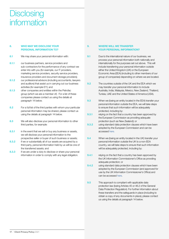### **Disclosing** information

#### 8. WHO MAY WE DISCLOSE YOUR PERSONAL INFORMATION TO?

- 8.1 We may share your personal information with:
- 8.1.1 our business partners, service providers and sub-contractors for the performance of any contract we enter into with you (for example, our IT providers, marketing service providers, security service providers, insurance providers and document storage providers);
- 8.1.2 our professional advisors (including accountants, lawyers and auditors) that assist us in carrying out our business activities (for example EY); and
- 8.1.3 other companies and entities within the Petrofac group (which we are a member of). For a list of these companies please contact us using the details at paragraph 14 below.
- 8.2 For a full list of the third parties with whom your particular personal information may be shared, please contact us using the details at paragraph 14 below.
- 8.3 We will also disclose your personal information to other third parties, for example:
- 8.3.1 in the event that we sell or buy any business or assets, we will disclose your personal information to the prospective seller or buyer of such business or assets;
- 8.3.2 if we or substantially all of our assets are acquired by a third party, personal information held by us will be one of the transferred assets; and
- 8.3.3 if we are under a duty to disclose or share your personal information in order to comply with any legal obligation.

#### 9. WHERE WILL WE TRANSFER YOUR PERSONAL INFORMATION?

- 9.1 Due to the international nature of our business, we process your personal information both nationally and internationally for the purposes set out above. This will include transferring your personal information outside either the United Kingdom (UK) or the European Economic Area (EEA) (including to other members of our group of companies) depending on where we are located.
- 9.2 The countries outside of the UK and the EEA which we may transfer your personal information to include Australia, India, Malaysia, Mexico, New Zealand, Thailand, Tunisia, UAE and the United States of America (USA).
- 9.3 When we (being an entity located in the EEA) transfer your personal information outside the EEA, we will take steps to ensure that such information will be adequately protected, including by:
- **9.3.1** relying on the fact that a country has been approved by the European Commission as providing adequate protection (such as New Zealand); or
- **9.3.2** using standard data protection clauses which have been adopted by the European Commission and can be accessed here.
- 9.4 When we (being an entity located in the UK) transfer your personal information outside the UK to a non-EEA country, we will take steps to ensure that such information will be adequately protected, including by:
- **9.4.1** relying on the fact that a country has been approved by the UK Information Commissioner's Office as providing adequate protection; or
- **9.4.2** using standard data protection clauses which have been adopted by the European Commission (and approved for use by the UK Information Commissioner's Office) and can be accessed here.
- **9.5** This approach is compliant with applicable data protection law (being Articles 45 or 46.2 of the General Data Protection Regulation). For further information about these transfers and the safeguards in place (including to obtain a copy of any documents in place), please contact us using the details at paragraph 14 below.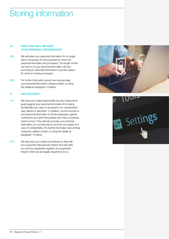## Storing information

#### 10. HOW LONG WILL WE KEEP YOUR PERSONAL INFORMATION?

- 10.1 We will retain your personal information for no longer than is necessary for the purposes for which the personal information are processed. The length of time we hold on to your personal information will vary according to what that information is and the reason for which it is being processed.
- 10.2 For further information about how long we keep your personal information, please contact us using the details at paragraph 14 below.

#### 11. DATA SECURITY

- 11.1 We have put in place appropriate security measures to guard against your personal information from being accidentally lost, used or accessed in an unauthorised way, altered or disclosed. In addition, we limit access to your personal information to those employees, agents, contractors and other third parties who have a business need to know. They will only process your personal information on our instructions and they are subject to a duty of confidentiality. For further information about these measures, please contact us using the details at paragraph 14 below.
- 11.2 We have also put in place procedures to deal with any suspected data security breach and will notify you and any applicable regulator of a suspected breach where we are legally required to do so.



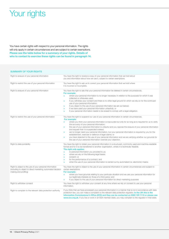# Your rights

You have certain rights with respect to your personal information. The rights will only apply in certain circumstances and are subject to certain exemptions. Please see the table below for a summary of your rights. Details of who to contact to exercise these rights can be found in paragraph 14.

#### SUMMARY OF YOUR RIGHTS

| Right to erasure of your personal information                                                                                                    | You have the right to receive a copy of your personal information that we hold about<br>you and information about how we use it, subject to certain exemptions.                                                                                                                                                                                                                                                                                                                                                                                                                                                                                                                                                                                                                                                   |
|--------------------------------------------------------------------------------------------------------------------------------------------------|-------------------------------------------------------------------------------------------------------------------------------------------------------------------------------------------------------------------------------------------------------------------------------------------------------------------------------------------------------------------------------------------------------------------------------------------------------------------------------------------------------------------------------------------------------------------------------------------------------------------------------------------------------------------------------------------------------------------------------------------------------------------------------------------------------------------|
| Right to restrict the use of your personal information                                                                                           | You have the right to ask us to correct your personal information that we hold where<br>it is incorrect or incomplete.                                                                                                                                                                                                                                                                                                                                                                                                                                                                                                                                                                                                                                                                                            |
| Right to erasure of your personal information                                                                                                    | You have the right to ask that your personal information be deleted in certain circumstances.<br>For example:<br>where your personal information is no longer necessary in relation to the purposes for which it was<br>$\geq$<br>collected or otherwise used:<br>if you withdraw your consent and there is no other legal ground for which we rely on for the continued<br>$\geq$<br>use of your personal information;<br>if you object to the use of your personal information (as set out below);<br>×<br>if we have used your personal information unlawfully; or<br>$\geq$<br>if your personal information needs to be erased to comply with a legal obligation.<br>$\geq$                                                                                                                                   |
| Right to restrict the use of your personal information                                                                                           | You have the right to suspend our use of your personal information in certain circumstances.<br>For example:<br>where you think your personal information is inaccurate but only for so long as is required for us to verify<br>$\geq$<br>the accuracy of your personal information;<br>the use of your personal information is unlawful and you oppose the erasure of your personal information<br>$\geq$<br>and request that it is suspended instead;<br>we no longer need your personal information, but your personal information is required by you for the<br>×.<br>establishment, exercise or defence of legal claims; or<br>you have objected to the use of your personal information and we are verifying whether our grounds for<br>×.<br>the use of your personal information override your objection. |
| Right to data portability                                                                                                                        | You have the right to obtain your personal information in a structured, commonly used and machine-readable<br>format and for it to be transferred to another organisation, where it is technically feasible.<br>The right only applies:<br>to personal information you provided to us;<br>$\geq$<br>where we rely on the following legal bases:<br>$\geq$<br>consent; or<br>$\geq$<br>for the performance of a contract; and<br>$\geq$<br>when the use of your personal information is carried out by automated (i.e. electronic) means<br>$\geq$                                                                                                                                                                                                                                                                 |
| Right to object to the use of your personal information<br>(including to object to direct marketing, automated decision<br>making and profiling) | You have the right to object to the use of your personal information in certain circumstances and subject to<br>certain exemptions.<br>For example:<br>where you have grounds relating to your particular situation and we use your personal information for<br>$\geq$<br>our legitimate interests (or those of a third party); and<br>if you object to the use of your personal information for direct marketing purposes<br>$\geq$                                                                                                                                                                                                                                                                                                                                                                              |
| Right to withdraw consent                                                                                                                        | You have the right to withdraw your consent at any time where we rely on consent to use your personal<br>information.                                                                                                                                                                                                                                                                                                                                                                                                                                                                                                                                                                                                                                                                                             |
| Right to complain to the relevant data protection authority                                                                                      | If you think that we have processed your personal information in a manner that is not in accordance with data<br>protection law, you can make a complaint to the relevant data protection regulator. In the UK this is the<br>Information Commissioner's Office (ICO) and they can be contacted on 0303 123 1113 or please see<br>www.ico.org.uk. If you live or work in an EEA member state, you may complain to the regulator in that state.                                                                                                                                                                                                                                                                                                                                                                    |